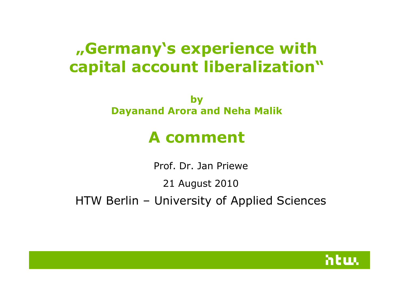# "Germany's experience with capital account liberalization"

by Dayanand Arora and Neha Malik

# A comment

Prof. Dr. Jan Priewe

21 August 2010

HTW Berlin – University of Applied Sciences

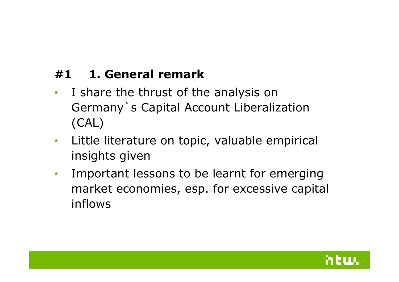### #1 1. General remark

- $\bullet$  I share the thrust of the analysis on Germany`s Capital Account Liberalization (CAL)
- • Little literature on topic, valuable empirical insights given
- $\bullet$  Important lessons to be learnt for emerging market economies, esp. for excessive capital inflows

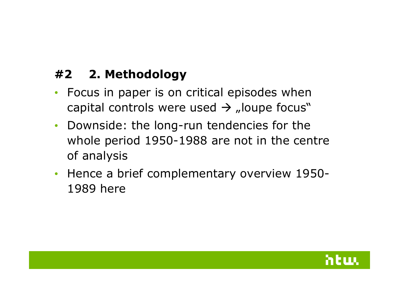## #2 2. Methodology

- Focus in paper is on critical episodes when capital controls were used  $\rightarrow$  "loupe focus"
- Downside: the long-run tendencies for the whole period 1950-1988 are not in the centre of analysis
- Hence a brief complementary overview 1950-1989 here

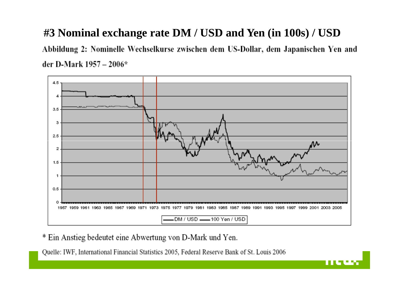#### **#3 Nominal exchange rate DM / USD and Yen (in 100s) / USD**

Abbildung 2: Nominelle Wechselkurse zwischen dem US-Dollar, dem Japanischen Yen and der D-Mark 1957 - 2006\*



88 S C

\* Ein Anstieg bedeutet eine Abwertung von D-Mark und Yen.

Quelle: IWF, International Financial Statistics 2005, Federal Reserve Bank of St. Louis 2006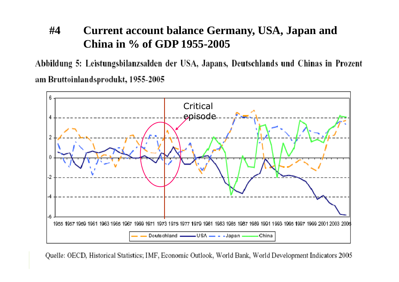#### **#4 Current account balance Germany, USA, Japan and China in % of GDP 1955-2005**

Abbildung 5: Leistungsbilanzsalden der USA, Japans, Deutschlands und Chinas in Prozent am Bruttoinlandsprodukt, 1955-2005



Quelle: OECD, Historical Statistics; IMF, Economic Outlook, World Bank, World Development Indicators 2005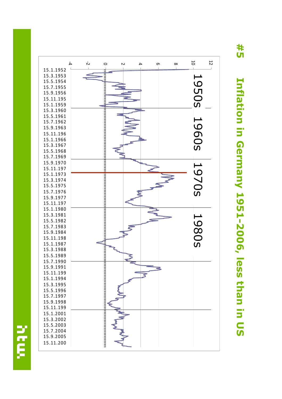#5 Inflation in Germany 1951-2006, less than in US Inflation in Germany 1951-2006, less than in US



yes.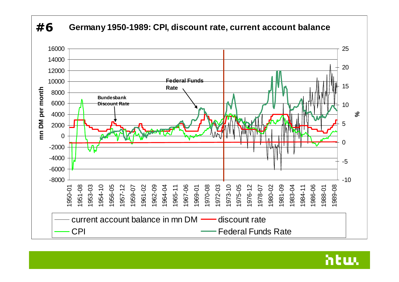



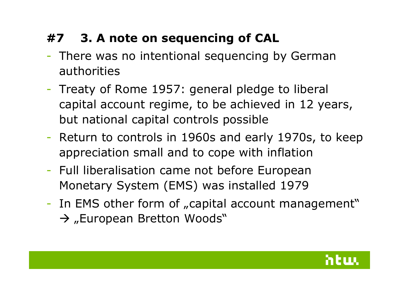# #7 3. A note on sequencing of CAL

- There was no intentional sequencing by German authorities
- $\mathcal{L}_{\mathcal{A}}$ - Treaty of Rome 1957: general pledge to liberal capital account regime, to be achieved in 12 years,but national capital controls possible
- Return to controls in 1960s and early 1970s, to keep appreciation small and to cope with inflation
- Full liberalisation came not before European Monetary System (EMS) was installed 1979
- -- In EMS other form of "capital account management" → "European Bretton Woods"

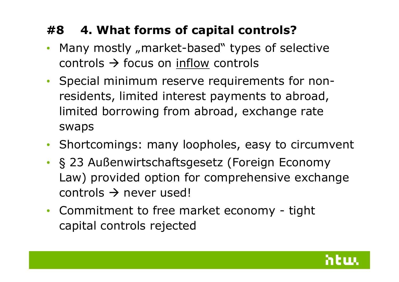## #8 4. What forms of capital controls?

- Many mostly "market-based" types of selective controls focus on inflow controls
- Special minimum reserve requirements for nonresidents, limited interest payments to abroad, limited borrowing from abroad, exchange rate swaps
- Shortcomings: many loopholes, easy to circumvent
- •§ 23 Außenwirtschaftsgesetz (Foreign Economy Law) provided option for comprehensive exchange  $\text{controls} \rightarrow \text{never used!}$
- Commitment to free market economy tight<br>
canital controls rejected capital controls rejected

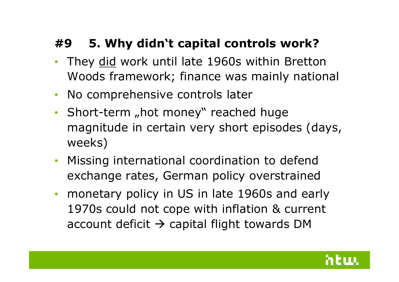### #9 5. Why didn't capital controls work?

- $\bullet$ • They did work until late 1960s within Bretton Woods framework; finance was mainly national
- No comprehensive controls later
- Short-term "hot money" reached huge magnitude in certain very short episodes (days, weeks)
- $\bullet$  Missing international coordination to defend exchange rates, German policy overstrained
- monetary policy in US in late 1960s and early 1970s could not cope with inflation & current account deficit  $\rightarrow$  capital flight towards DM

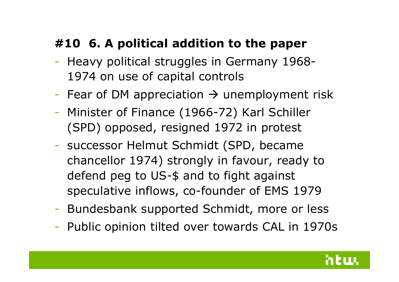# #10 6. A political addition to the paper

- $\mathcal{L}^{\text{max}}_{\text{max}}$ - Heavy political struggles in Germany 1968-1974 on use of capital controls
- $\mathcal{L}^{\text{max}}_{\text{max}}$ - Fear of DM appreciation  $\rightarrow$  unemployment risk
- Minister of Finance (1966-72) Karl Schiller (SPD) opposed, resigned 1972 in protest
- successor Helmut Schmidt (SPD, became chancellor 1974) strongly in favour, ready to defend peg to US-\$ and to fight against speculative inflows, co-founder of EMS 1979
- -Bundesbank supported Schmidt, more or less
- Public opinion tilted over towards CAL in 1970s

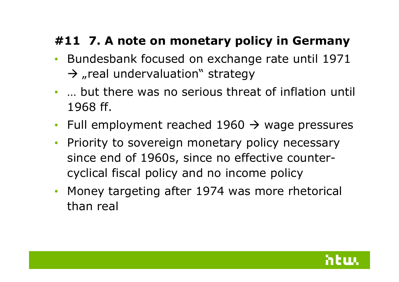# #11 7. A note on monetary policy in Germany

- Bundesbank focused on exchange rate until 1971  $\rightarrow$  "real undervaluation" strategy
- … but there was no serious threat of inflation until 1968 ff.
- Full employment reached  $1960 \rightarrow$  wage pressures
- $\bullet$  Priority to sovereign monetary policy necessary since end of 1960s, since no effective countercyclical fiscal policy and no income policy
- $\bullet$  Money targeting after 1974 was more rhetorical than real